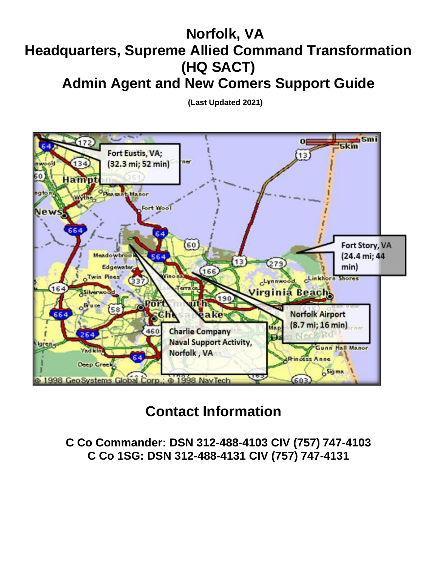# **Norfolk, VA Headquarters, Supreme Allied Command Transformation (HQ SACT)**

**Admin Agent and New Comers Support Guide**

**(Last Updated 2021)**



# **Contact Information**

**C Co Commander: DSN 312-488-4103 CIV (757) 747-4103 C Co 1SG: DSN 312-488-4131 CIV (757) 747-4131**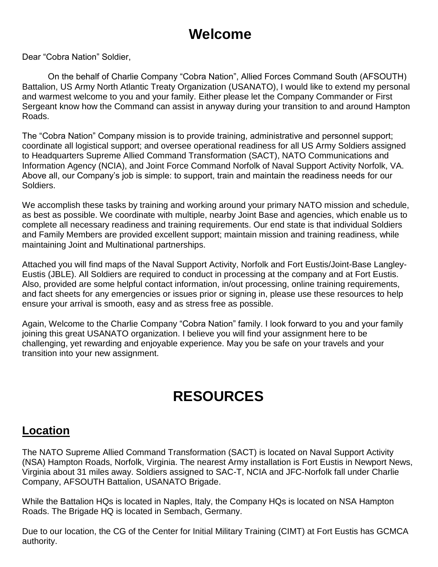# **Welcome**

Dear "Cobra Nation" Soldier,

On the behalf of Charlie Company "Cobra Nation", Allied Forces Command South (AFSOUTH) Battalion, US Army North Atlantic Treaty Organization (USANATO), I would like to extend my personal and warmest welcome to you and your family. Either please let the Company Commander or First Sergeant know how the Command can assist in anyway during your transition to and around Hampton Roads.

The "Cobra Nation" Company mission is to provide training, administrative and personnel support; coordinate all logistical support; and oversee operational readiness for all US Army Soldiers assigned to Headquarters Supreme Allied Command Transformation (SACT), NATO Communications and Information Agency (NCIA), and Joint Force Command Norfolk of Naval Support Activity Norfolk, VA. Above all, our Company's job is simple: to support, train and maintain the readiness needs for our Soldiers.

We accomplish these tasks by training and working around your primary NATO mission and schedule, as best as possible. We coordinate with multiple, nearby Joint Base and agencies, which enable us to complete all necessary readiness and training requirements. Our end state is that individual Soldiers and Family Members are provided excellent support; maintain mission and training readiness, while maintaining Joint and Multinational partnerships.

Attached you will find maps of the Naval Support Activity, Norfolk and Fort Eustis/Joint-Base Langley-Eustis (JBLE). All Soldiers are required to conduct in processing at the company and at Fort Eustis. Also, provided are some helpful contact information, in/out processing, online training requirements, and fact sheets for any emergencies or issues prior or signing in, please use these resources to help ensure your arrival is smooth, easy and as stress free as possible.

Again, Welcome to the Charlie Company "Cobra Nation" family. I look forward to you and your family joining this great USANATO organization. I believe you will find your assignment here to be challenging, yet rewarding and enjoyable experience. May you be safe on your travels and your transition into your new assignment.

# **RESOURCES**

#### **Location**

The NATO Supreme Allied Command Transformation (SACT) is located on Naval Support Activity (NSA) Hampton Roads, Norfolk, Virginia. The nearest Army installation is Fort Eustis in Newport News, Virginia about 31 miles away. Soldiers assigned to SAC-T, NCIA and JFC-Norfolk fall under Charlie Company, AFSOUTH Battalion, USANATO Brigade.

While the Battalion HQs is located in Naples, Italy, the Company HQs is located on NSA Hampton Roads. The Brigade HQ is located in Sembach, Germany.

Due to our location, the CG of the Center for Initial Military Training (CIMT) at Fort Eustis has GCMCA authority.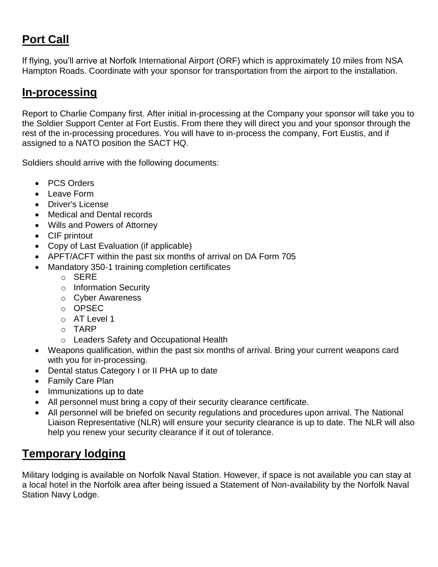# **Port Call**

If flying, you'll arrive at Norfolk International Airport (ORF) which is approximately 10 miles from NSA Hampton Roads. Coordinate with your sponsor for transportation from the airport to the installation.

#### **In-processing**

Report to Charlie Company first. After initial in-processing at the Company your sponsor will take you to the Soldier Support Center at Fort Eustis. From there they will direct you and your sponsor through the rest of the in-processing procedures. You will have to in-process the company, Fort Eustis, and if assigned to a NATO position the SACT HQ.

Soldiers should arrive with the following documents:

- PCS Orders
- Leave Form
- Driver's License
- Medical and Dental records
- Wills and Powers of Attorney
- CIF printout
- Copy of Last Evaluation (if applicable)
- APFT/ACFT within the past six months of arrival on DA Form 705
- Mandatory 350-1 training completion certificates
	- o SERE
	- o Information Security
	- o Cyber Awareness
	- o OPSEC
	- o AT Level 1
	- o TARP
	- o Leaders Safety and Occupational Health
- Weapons qualification, within the past six months of arrival. Bring your current weapons card with you for in-processing.
- Dental status Category I or II PHA up to date
- Family Care Plan
- Immunizations up to date
- All personnel must bring a copy of their security clearance certificate.
- All personnel will be briefed on security regulations and procedures upon arrival. The National Liaison Representative (NLR) will ensure your security clearance is up to date. The NLR will also help you renew your security clearance if it out of tolerance.

# **Temporary lodging**

Military lodging is available on Norfolk Naval Station. However, if space is not available you can stay at a local hotel in the Norfolk area after being issued a Statement of Non-availability by the Norfolk Naval Station Navy Lodge.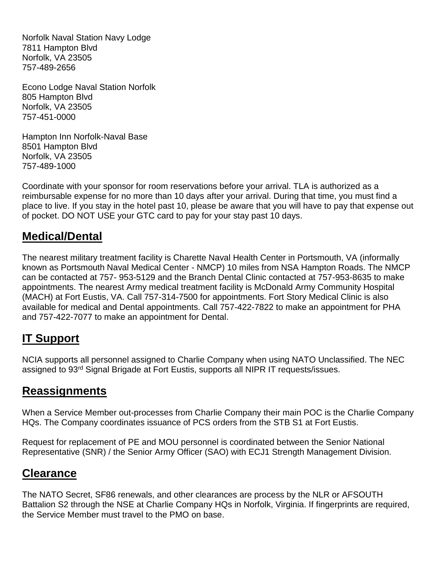Norfolk Naval Station Navy Lodge 7811 Hampton Blvd Norfolk, VA 23505 757-489-2656

Econo Lodge Naval Station Norfolk 805 Hampton Blvd Norfolk, VA 23505 757-451-0000

Hampton Inn Norfolk-Naval Base 8501 Hampton Blvd Norfolk, VA 23505 757-489-1000

Coordinate with your sponsor for room reservations before your arrival. TLA is authorized as a reimbursable expense for no more than 10 days after your arrival. During that time, you must find a place to live. If you stay in the hotel past 10, please be aware that you will have to pay that expense out of pocket. DO NOT USE your GTC card to pay for your stay past 10 days.

### **Medical/Dental**

The nearest military treatment facility is Charette Naval Health Center in Portsmouth, VA (informally known as Portsmouth Naval Medical Center - NMCP) 10 miles from NSA Hampton Roads. The NMCP can be contacted at 757- 953-5129 and the Branch Dental Clinic contacted at 757-953-8635 to make appointments. The nearest Army medical treatment facility is McDonald Army Community Hospital (MACH) at Fort Eustis, VA. Call 757-314-7500 for appointments. Fort Story Medical Clinic is also available for medical and Dental appointments. Call 757-422-7822 to make an appointment for PHA and 757-422-7077 to make an appointment for Dental.

### **IT Support**

NCIA supports all personnel assigned to Charlie Company when using NATO Unclassified. The NEC assigned to 93rd Signal Brigade at Fort Eustis, supports all NIPR IT requests/issues.

### **Reassignments**

When a Service Member out-processes from Charlie Company their main POC is the Charlie Company HQs. The Company coordinates issuance of PCS orders from the STB S1 at Fort Eustis.

Request for replacement of PE and MOU personnel is coordinated between the Senior National Representative (SNR) / the Senior Army Officer (SAO) with ECJ1 Strength Management Division.

#### **Clearance**

The NATO Secret, SF86 renewals, and other clearances are process by the NLR or AFSOUTH Battalion S2 through the NSE at Charlie Company HQs in Norfolk, Virginia. If fingerprints are required, the Service Member must travel to the PMO on base.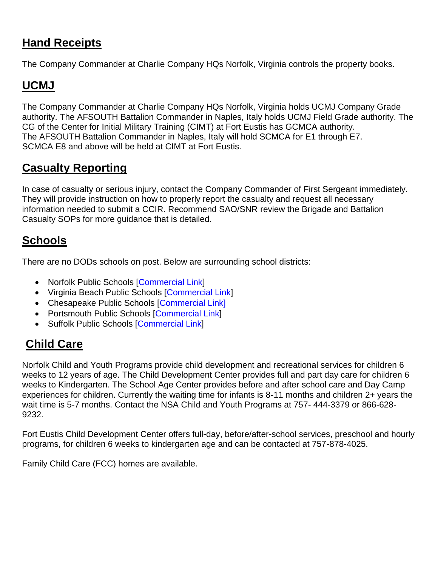## **Hand Receipts**

The Company Commander at Charlie Company HQs Norfolk, Virginia controls the property books.

## **UCMJ**

The Company Commander at Charlie Company HQs Norfolk, Virginia holds UCMJ Company Grade authority. The AFSOUTH Battalion Commander in Naples, Italy holds UCMJ Field Grade authority. The CG of the Center for Initial Military Training (CIMT) at Fort Eustis has GCMCA authority. The AFSOUTH Battalion Commander in Naples, Italy will hold SCMCA for E1 through E7. SCMCA E8 and above will be held at CIMT at Fort Eustis.

### **Casualty Reporting**

In case of casualty or serious injury, contact the Company Commander of First Sergeant immediately. They will provide instruction on how to properly report the casualty and request all necessary information needed to submit a CCIR. Recommend SAO/SNR review the Brigade and Battalion Casualty SOPs for more guidance that is detailed.

## **Schools**

There are no DODs schools on post. Below are surrounding school districts:

- Norfolk Public Schools [\[Commercial Link\]](https://www.nps.k12.va.us/)
- Virginia Beach Public Schools [\[Commercial Link\]](http://www.vbschools.com/)
- Chesapeake Public Schools [\[Commercial Link\]](http://www.cpschools.com/index.php)
- Portsmouth Public Schools [\[Commercial Link\]](http://pps.k12.va.us/)
- Suffolk Public Schools [\[Commercial Link\]](https://www.spsk12.net/)

# **Child Care**

Norfolk Child and Youth Programs provide child development and recreational services for children 6 weeks to 12 years of age. The Child Development Center provides full and part day care for children 6 weeks to Kindergarten. The School Age Center provides before and after school care and Day Camp experiences for children. Currently the waiting time for infants is 8-11 months and children 2+ years the wait time is 5-7 months. Contact the NSA Child and Youth Programs at 757- 444-3379 or 866-628- 9232.

Fort Eustis Child Development Center offers full-day, before/after-school services, preschool and hourly programs, for children 6 weeks to kindergarten age and can be contacted at 757-878-4025.

Family Child Care (FCC) homes are available.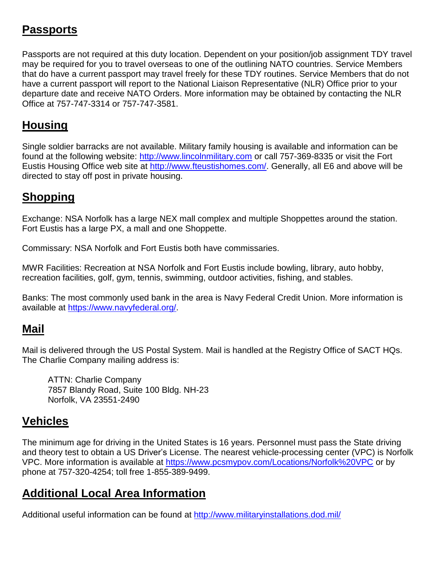### **Passports**

Passports are not required at this duty location. Dependent on your position/job assignment TDY travel may be required for you to travel overseas to one of the outlining NATO countries. Service Members that do have a current passport may travel freely for these TDY routines. Service Members that do not have a current passport will report to the National Liaison Representative (NLR) Office prior to your departure date and receive NATO Orders. More information may be obtained by contacting the NLR Office at 757-747-3314 or 757-747-3581.

# **Housing**

Single soldier barracks are not available. Military family housing is available and information can be found at the following website: [http://www.lincolnmilitary.com](http://www.lincolnmilitary.com/) or call 757-369-8335 or visit the Fort Eustis Housing Office web site at [http://www.fteustishomes.com/.](http://www.fteustishomes.com/) Generally, all E6 and above will be directed to stay off post in private housing.

## **Shopping**

Exchange: NSA Norfolk has a large NEX mall complex and multiple Shoppettes around the station. Fort Eustis has a large PX, a mall and one Shoppette.

Commissary: NSA Norfolk and Fort Eustis both have commissaries.

MWR Facilities: Recreation at NSA Norfolk and Fort Eustis include bowling, library, auto hobby, recreation facilities, golf, gym, tennis, swimming, outdoor activities, fishing, and stables.

Banks: The most commonly used bank in the area is Navy Federal Credit Union. More information is available at [https://www.navyfederal.org/.](https://www.navyfederal.org/)

#### **Mail**

Mail is delivered through the US Postal System. Mail is handled at the Registry Office of SACT HQs. The Charlie Company mailing address is:

ATTN: Charlie Company 7857 Blandy Road, Suite 100 Bldg. NH-23 Norfolk, VA 23551-2490

#### **Vehicles**

The minimum age for driving in the United States is 16 years. Personnel must pass the State driving and theory test to obtain a US Driver's License. The nearest vehicle-processing center (VPC) is Norfolk VPC. More information is available at<https://www.pcsmypov.com/Locations/Norfolk%20VPC> or by phone at 757-320-4254; toll free 1-855-389-9499.

## **Additional Local Area Information**

Additional useful information can be found at <http://www.militaryinstallations.dod.mil/>